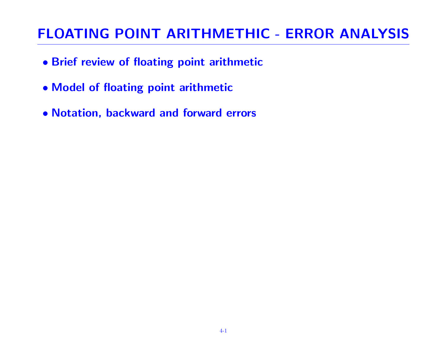# FLOATING POINT ARITHMETHIC - ERROR ANALYSIS

- Brief review of floating point arithmetic
- Model of floating point arithmetic
- Notation, backward and forward errors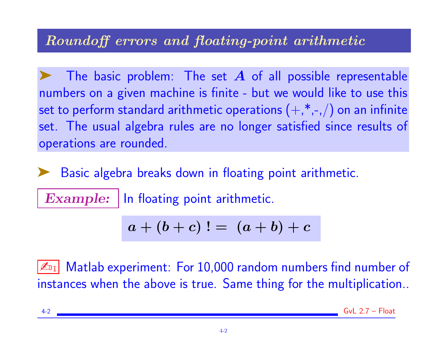## Roundoff errors and floating-point arithmetic

The basic problem: The set  $\bm{A}$  of all possible representable numbers on a given machine is finite - but we would like to use this set to perform standard arithmetic operations  $(+,*,-,)$  on an infinite set. The usual algebra rules are no longer satisfied since results of operations are rounded.

➤ Basic algebra breaks down in floating point arithmetic.

Example: | In floating point arithmetic.

$$
a + (b + c) \, ! = \, (a + b) + c
$$

 $\mathbb{Z}_{1}$  Matlab experiment: For 10,000 random numbers find number of instances when the above is true. Same thing for the multiplication..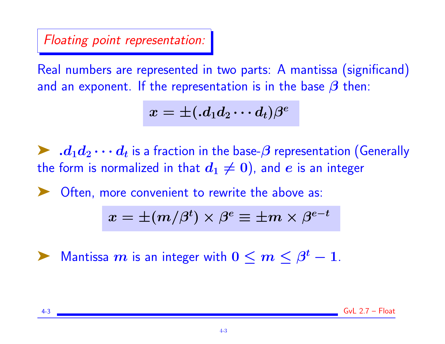Floating point representation:

Real numbers are represented in two parts: A mantissa (significand) and an exponent. If the representation is in the base  $\beta$  then:

$$
x=\pm (.d_{1}d_{2}\cdots d_{t})\beta ^{e}
$$

 $\blacktriangleright\; .d_1d_2\cdots d_t$  is a fraction in the base- $\beta$  representation (Generally the form is normalized in that  $d_1 \neq 0$ ), and e is an integer

Often, more convenient to rewrite the above as:

$$
x=\pm (m/\beta^t)\times \beta^e\equiv \pm m\times \beta^{e-t}
$$

 $\blacktriangleright$  Mantissa  $m$  is an integer with  $0 \leq m \leq \beta^t-1$ .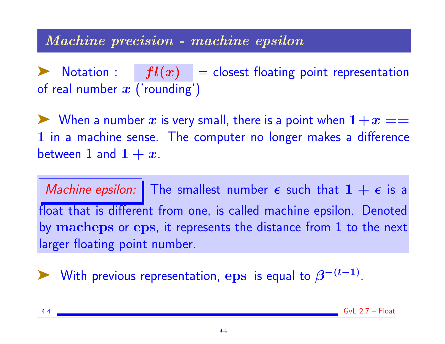#### Machine precision - machine epsilon

**EXECUTE:** For  $fl(x) =$  closest floating point representation of real number  $x$  ('rounding')

 $\blacktriangleright$  When a number  $x$  is very small, there is a point when  $1+x ==$ 1 in a machine sense. The computer no longer makes a difference between 1 and  $1 + x$ .

Machine epsilon: The smallest number  $\epsilon$  such that  $1 + \epsilon$  is a float that is different from one, is called machine epsilon. Denoted by macheps or eps, it represents the distance from 1 to the next larger floating point number.

► With previous representation, eps is equal to  $\beta^{-(t-1)}$ .

 $Gvl 2.7 - Float$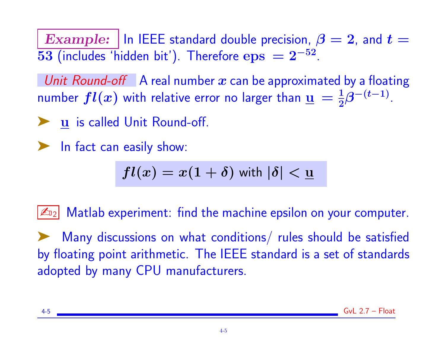Example: | In IEEE standard double precision,  $\beta = 2$ , and  $t =$  $\overline{53}$  (includes 'hidden bit'). Therefore  $\mathrm{eps}\,=2^{-52}.$ 

Unit Round-off A real number x can be approximated by a floating number  $fl(x)$  with relative error no larger than  $\underline{\mathbf{u}}\,=\frac{1}{2}$  $\frac{1}{2}\beta^{-(t-1)}$ .

► u is called Unit Round-off.

➤ In fact can easily show:

$$
fl(x) = x(1+\delta) \text{ with } |\delta| < \underline{\mathbf{u}}.
$$

 $\mathbb{Z}_{22}$  Matlab experiment: find the machine epsilon on your computer.

Many discussions on what conditions/ rules should be satisfied by floating point arithmetic. The IEEE standard is a set of standards adopted by many CPU manufacturers.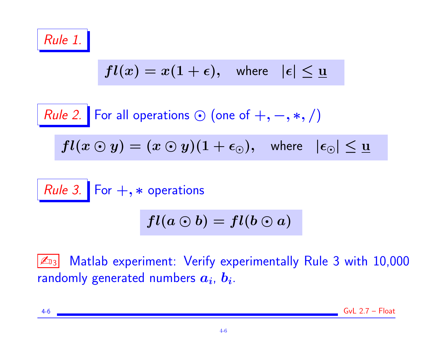

$$
fl(x)=x(1+\epsilon), \quad \text{where} \quad |\epsilon|\leq \underline{u}
$$

*Rule 2.* For all operations 
$$
\odot
$$
 (one of  $+, -, *, /)$ 

$$
fl(x \odot y) = (x \odot y)(1 + \epsilon_{\odot}), \quad \text{where} \quad |\epsilon_{\odot}| \leq \underline{u}
$$

Rule 3. For  $+, *$  operations

$$
fl(a\odot b)=fl(b\odot a)
$$

**ED3** Matlab experiment: Verify experimentally Rule 3 with 10,000 randomly generated numbers  $\boldsymbol{a_i}$ ,  $\boldsymbol{b_i}$ .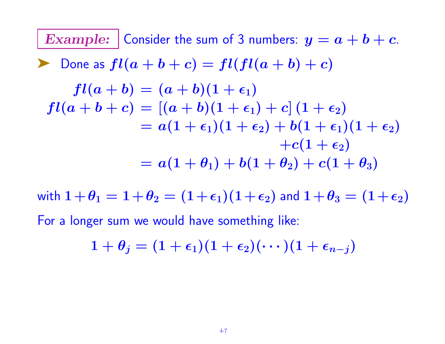**Example:** Consider the sum of 3 numbers: 
$$
y = a + b + c
$$
.  
\n**Example:** Consider the sum of 3 numbers:  $y = a + b + c$ .  
\n**Example:** 
$$
f1(a + b) = f1(f1(a + b) + c)
$$
\n
$$
f1(a + b) = (a + b)(1 + \epsilon_1)
$$
\n
$$
f1(a + b + c) = [(a + b)(1 + \epsilon_1) + c](1 + \epsilon_2)
$$
\n
$$
= a(1 + \epsilon_1)(1 + \epsilon_2) + b(1 + \epsilon_1)(1 + \epsilon_2)
$$
\n
$$
+ c(1 + \epsilon_2)
$$
\n
$$
= a(1 + \theta_1) + b(1 + \theta_2) + c(1 + \theta_3)
$$

with  $1+\theta_1 = 1+\theta_2 = (1+\epsilon_1)(1+\epsilon_2)$  and  $1+\theta_3 = (1+\epsilon_2)$ For a longer sum we would have something like:

$$
1+\theta_j=(1+\epsilon_1)(1+\epsilon_2)(\cdots)(1+\epsilon_{n-j})
$$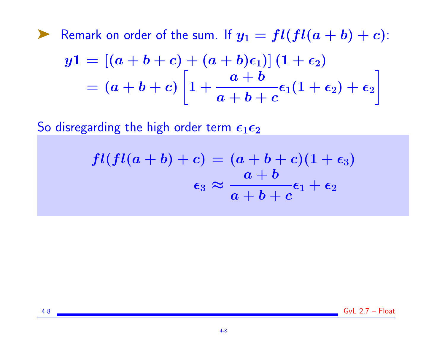Example Remark on order of the sum. If  $y_1 = fl(f l(a + b) + c)$ :

$$
y1 = [(a+b+c)+(a+b)\epsilon_1)](1+\epsilon_2)
$$
  
=  $(a+b+c)\left[1+\frac{a+b}{a+b+c}\epsilon_1(1+\epsilon_2)+\epsilon_2\right]$ 

So disregarding the high order term  $\epsilon_1 \epsilon_2$ 

$$
fl (fl(a+b) + c) = (a+b+c)(1+\epsilon_3)
$$
  

$$
\epsilon_3 \approx \frac{a+b}{a+b+c} \epsilon_1 + \epsilon_2
$$

4-8 GvL 2.7 – Float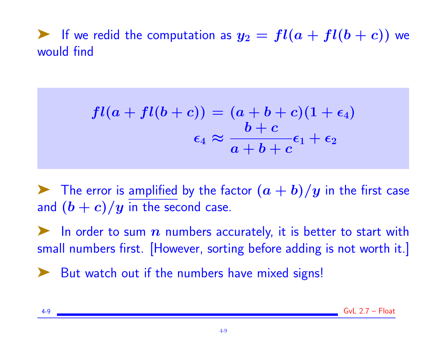ightharpoonuportation as  $y_2 = fl(a + fl(b + c))$  we would find

$$
fl(a+fl(b+c)) = (a+b+c)(1+\epsilon_4)
$$

$$
\epsilon_4 \approx \frac{b+c}{a+b+c}\epsilon_1+\epsilon_2
$$

 $\blacktriangleright$  The error is amplified by the factor  $(a + b)/y$  in the first case and  $(b + c)/y$  in the second case.

In order to sum  $n$  numbers accurately, it is better to start with small numbers first. [However, sorting before adding is not worth it.]

► But watch out if the numbers have mixed signs!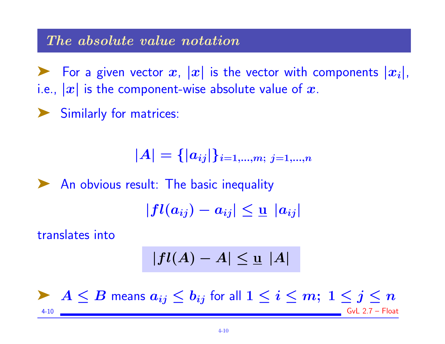#### The absolute value notation

For a given vector x,  $|x|$  is the vector with components  $|x_i|$ , i.e.,  $|x|$  is the component-wise absolute value of x.

➤ Similarly for matrices:

$$
|A|=\{|a_{ij}|\}_{i=1,...,m;\;j=1,...,n}
$$

◆ An obvious result: The basic inequality

$$
|fl(a_{ij})-a_{ij}|\leq \underline{u}|a_{ij}|
$$

translates into

$$
|fl(A)-A|\leq \underline{u} \ |A|
$$

A  $\leq B$  means  $a_{ij} \leq b_{ij}$  for all  $1 \leq i \leq m$ ;  $1 \leq j \leq n$ 4-10 GvL 2.7 – Float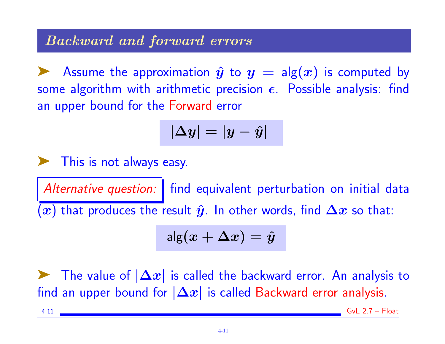## Backward and forward errors

Assume the approximation  $\hat{y}$  to  $y = \text{alg}(x)$  is computed by some algorithm with arithmetic precision  $\epsilon$ . Possible analysis: find an upper bound for the Forward error

$$
|\Delta y|=|y-\hat{y}|
$$

➤ This is not always easy.

Alternative question: | find equivalent perturbation on initial data  $\overline{(x)}$  that produces the result  $\hat{y}$ . In other words, find  $\Delta x$  so that:

$$
\mathsf{alg}(x+\Delta x) = \hat{y}
$$

The value of  $|\Delta x|$  is called the backward error. An analysis to find an upper bound for  $|\Delta x|$  is called Backward error analysis.

 $-4-11$  Gyl  $2.7 -$ Float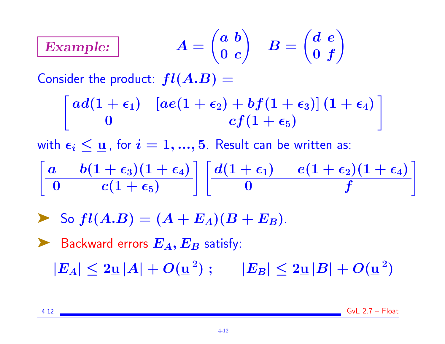#### Example:  $\int a b$  $\mathbf 0$   $\mathbf c$  $\setminus$  $\bm{B} =$  $\int d\, e$  $\boldsymbol{0}$   $\boldsymbol{f}$  $\setminus$

Consider the product:  $fl(A.B) =$ 

$$
\left[\begin{array}{c|c} ad(1+\epsilon_1) & [ae(1+\epsilon_2)+bf(1+\epsilon_3)]\,(1+\epsilon_4) \\ \hline 0 & cf(1+\epsilon_5) \end{array}\right]
$$

with  $\epsilon_i \leq \underline{u}$ , for  $i = 1, ..., 5$ . Result can be written as:

$$
\left[\begin{array}{c|c} a & b(1+\epsilon_3)(1+\epsilon_4) \\ \hline 0 & c(1+\epsilon_5) \end{array}\right] \left[\begin{array}{c|c} d(1+\epsilon_1) & e(1+\epsilon_2)(1+\epsilon_4) \\ \hline 0 & f \end{array}\right]
$$

$$
\blacktriangleright \text{ So } fl(A.B) = (A + E_A)(B + E_B).
$$

► Backward errors 
$$
E_A
$$
,  $E_B$  satisfy:  
\n $|E_A| \leq 2\underline{u} |A| + O(\underline{u}^2)$ ;  $|E_B| \leq 2\underline{u} |B| + O(\underline{u}^2)$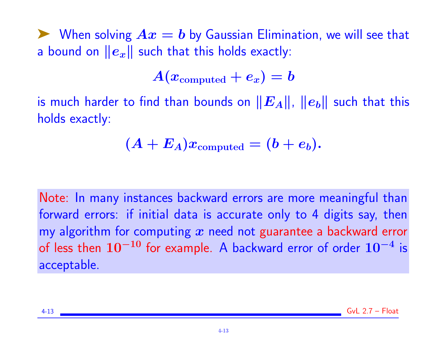$\blacktriangleright$  When solving  $Ax = b$  by Gaussian Elimination, we will see that a bound on  $||e_x||$  such that this holds exactly:

 $A(x_{\text{computed}} + e_x) = b$ 

is much harder to find than bounds on  $||E_A||$ ,  $||e_b||$  such that this holds exactly:

$$
(A + E_A)x_{\rm computed} = (b + e_b).
$$

Note: In many instances backward errors are more meaningful than forward errors: if initial data is accurate only to 4 digits say, then my algorithm for computing  $x$  need not guarantee a backward error of less then  $10^{-10}$  for example. A backward error of order  $10^{-4}$  is acceptable.

| $4 - 13$<br>GVL 2.7<br>TUAL |
|-----------------------------|
|-----------------------------|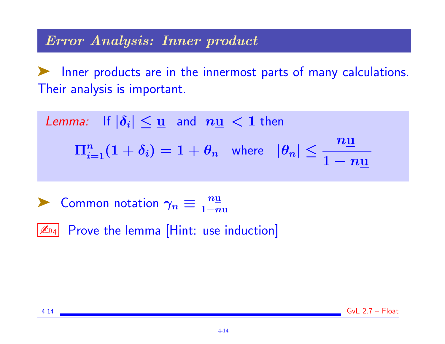#### Error Analysis: Inner product

Inner products are in the innermost parts of many calculations. Their analysis is important.

Lemma: If  $|\delta_i| \leq \underline{u}$  and  $n\underline{u} < 1$  then  $\Pi_{i=1}^n(1+\delta_i)=1+\theta_n$  where  $|\theta_n|\leq \frac{n\underline{\mathbf{u}}}{1-\alpha_i}$  $1 - n\underline{\mathrm{u}}$ 

► Common notation  $\gamma_n \equiv \frac{n \underline{u}}{1 - n}$  $1-n\underline{u}$ 

 $\mathbb{Z}_{04}$  Prove the lemma [Hint: use induction]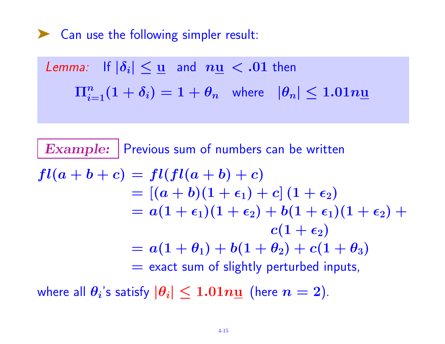➤ Can use the following simpler result:

Lemma: If 
$$
|\delta_i| \leq \underline{u}
$$
 and  $n\underline{u} < .01$  then

\n
$$
\Pi_{i=1}^n(1+\delta_i) = 1+\theta_n \quad \text{where} \quad |\theta_n| \leq 1.01n\underline{u}
$$

**Example:** Previous sum of numbers can be written  $fl(a + b + c) = fl(f l(a + b) + c)$  $= [(a + b)(1 + \epsilon_1) + c](1 + \epsilon_2)$  $= a(1 + \epsilon_1)(1 + \epsilon_2) + b(1 + \epsilon_1)(1 + \epsilon_2) + b(1 + \epsilon_1)(1 + \epsilon_2) + b(1 + \epsilon_1)(1 + \epsilon_2)$  $c(1+\epsilon_2)$  $= a(1 + \theta_1) + b(1 + \theta_2) + c(1 + \theta_3)$  $=$  exact sum of slightly perturbed inputs,

where all  $\theta_i$ 's satisfy  $|\theta_i| \leq 1.01n\underline{\mathbf{u}}$  (here  $n=2$ ).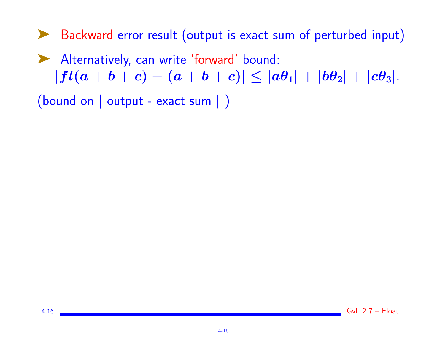➤ Backward error result (output is exact sum of perturbed input)

➤ Alternatively, can write 'forward' bound:  $|fl(a + b + c) - (a + b + c)| \le |a\theta_1| + |b\theta_2| + |c\theta_3|.$ 

(bound on | output - exact sum | )

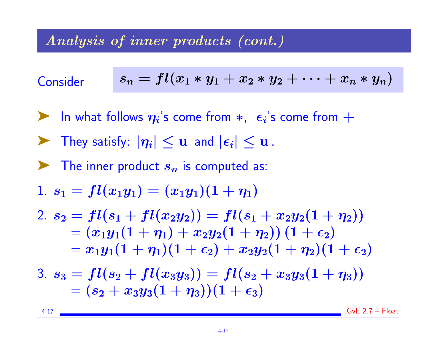# Analysis of inner products (cont.)

Consider 
$$
s_n = fl(x_1 * y_1 + x_2 * y_2 + \cdots + x_n * y_n)
$$

- In what follows  $\eta_i$ 's come from  $*$ ,  $\epsilon_i$ 's come from  $+$
- $\blacktriangleright$  They satisfy:  $|\eta_i| \leq \underline{u}$  and  $|\epsilon_i| \leq \underline{u}$ .
- $\blacktriangleright$  The inner product  $s_n$  is computed as:

1. 
$$
s_1 = fl(x_1y_1) = (x_1y_1)(1 + \eta_1)
$$

2. 
$$
s_2 = fl(s_1 + fl(x_2y_2)) = fl(s_1 + x_2y_2(1 + \eta_2))
$$
  
\n $= (x_1y_1(1 + \eta_1) + x_2y_2(1 + \eta_2))(1 + \epsilon_2)$   
\n $= x_1y_1(1 + \eta_1)(1 + \epsilon_2) + x_2y_2(1 + \eta_2)(1 + \epsilon_2)$ 

$$
3. \, s_3 = fl(s_2 + fl(x_3y_3)) = fl(s_2 + x_3y_3(1 + \eta_3)) \\ = (s_2 + x_3y_3(1 + \eta_3))(1 + \epsilon_3)
$$

4-17 GvL 2.7 – Float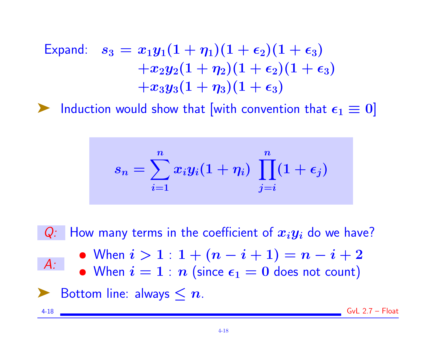Expand:

\n
$$
s_3 = x_1 y_1 (1 + \eta_1) (1 + \epsilon_2) (1 + \epsilon_3) \\
+ x_2 y_2 (1 + \eta_2) (1 + \epsilon_2) (1 + \epsilon_3) \\
+ x_3 y_3 (1 + \eta_3) (1 + \epsilon_3)
$$

ighthrow Induction would show that [with convention that  $\epsilon_1 \equiv 0$ ]

$$
s_n=\sum_{i=1}^n x_i y_i(1+\eta_i)\ \prod_{j=i}^n (1+\epsilon_j)
$$

 $Q:$  How many terms in the coefficient of  $x_iy_i$  do we have?  $A$ : • When  $i > 1 : 1 + (n - i + 1) = n - i + 2$ • When  $i = 1 : n$  (since  $\epsilon_1 = 0$  does not count)  $\blacktriangleright$  Bottom line: always  $\leq n$ . 4-18 GvL 2.7 – Float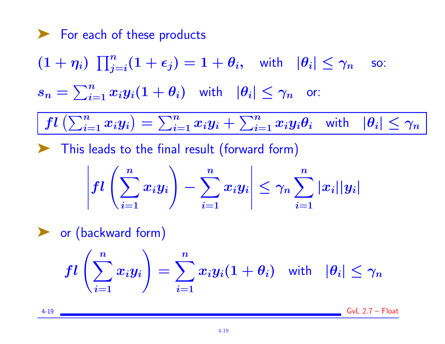\n- $$
\blacktriangleright
$$
 For each of these products\n  $(1 + \eta_i) \prod_{j=i}^n (1 + \epsilon_j) = 1 + \theta_i$ , with  $|\theta_i| \leq \gamma_n$  so:\n  $s_n = \sum_{i=1}^n x_i y_i (1 + \theta_i)$  with  $|\theta_i| \leq \gamma_n$  or:\n  $\boxed{fl\left(\sum_{i=1}^n x_i y_i\right) = \sum_{i=1}^n x_i y_i + \sum_{i=1}^n x_i y_i \theta_i}$  with  $|\theta_i| \leq \gamma_n}$ \n
\n- $\blacktriangleright$  This leads to the final result (forward form)\n  $\left|fl\left(\sum_{i=1}^n x_i y_i\right) - \sum_{i=1}^n x_i y_i\right| \leq \gamma_n \sum_{i=1}^n |x_i| |y_i|$ \n
\n- $\blacktriangleright$  or (backward form)\n  $fl\left(\sum_{i=1}^n x_i y_i\right) = \sum_{i=1}^n x_i y_i (1 + \theta_i)$  with  $|\theta_i| \leq \gamma_n$ \n
\n

4-19 GvL 2.7 – Float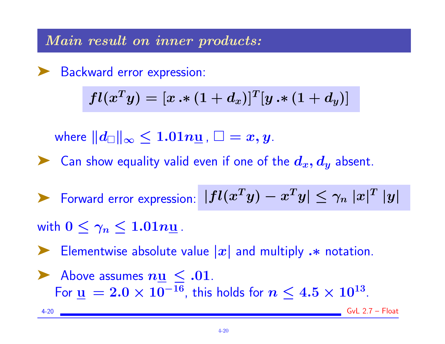Main result on inner products:

▶ Backward error expression:

$$
fl(x^Ty)=[x\bm{\cdot}*(1+d_x)]^T[y\bm{\cdot}*(1+d_y)]
$$

where  $||d_{\square}||_{\infty} \leq 1.01n\underline{\mathsf{u}}$  ,  $\square = x, y$ .

Example 2 Can show equality valid even if one of the  $d_x, d_y$  absent.

Forward error expression:  $|fl(x^Ty) - x^Ty| \leq \gamma_n |x|^T |y|$ 

with  $0 \leq \gamma_n \leq 1.01n\underline{u}$ .

Elementwise absolute value  $|x|$  and multiply  $\cdot\ast$  notation.

Above assumes  $n\underline{u} \le .01$ . For  $\underline{\mathbf{u}} = 2.0 \times 10^{-16}$ , this holds for  $n \leq 4.5 \times 10^{13}$ .

4-20 GvL 2.7 – Float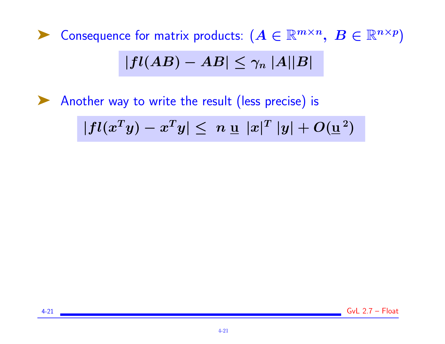▶ Consequence for matrix products:  $(A \in \mathbb{R}^{m \times n}, \ B \in \mathbb{R}^{n \times p})$  $|fl(AB) - AB| \leq \gamma_n |A||B|$ 

▶ Another way to write the result (less precise) is

 $|fl(x^Ty) - x^Ty| \leq n \leq |x|^T |y| + O(\underline{u}^2)$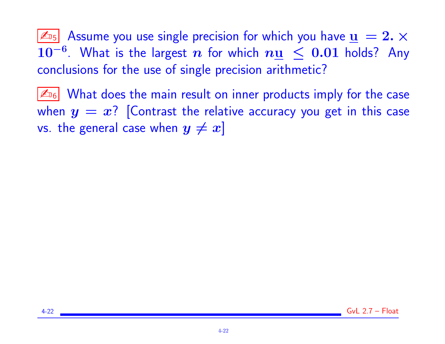$|\mathcal{L}_{15}|$  Assume you use single precision for which you have  $\mathbf{u} = 2. \times$  $10^{-6}$ . What is the largest n for which  $n\underline{u} \leq 0.01$  holds? Any conclusions for the use of single precision arithmetic?

 $|\mathcal{L}_{16}|$  What does the main result on inner products imply for the case when  $y = x$ ? [Contrast the relative accuracy you get in this case vs. the general case when  $y \neq x$ ]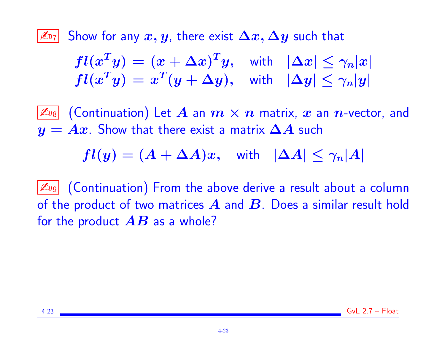$|\mathbb{Z}_{7}|$  Show for any  $x,y$ , there exist  $\Delta x,\Delta y$  such that

$$
fl(x^T y) = (x + \Delta x)^T y, \text{ with } |\Delta x| \leq \gamma_n |x|
$$
  

$$
fl(x^T y) = x^T (y + \Delta y), \text{ with } |\Delta y| \leq \gamma_n |y|
$$

 $\boxed{\mathbb{Z}_{\scriptscriptstyle 18}}$  (Continuation) Let  $A$  an  $m\times n$  matrix,  $x$  an  $n$ -vector, and  $y = Ax$ . Show that there exist a matrix  $\Delta A$  such

 $fl(y) = (A + \Delta A)x$ , with  $|\Delta A| \leq \gamma_n|A|$ 

 $|\mathbb{Z}_{9}|$  (Continuation) From the above derive a result about a column of the product of two matrices  $A$  and  $B$ . Does a similar result hold for the product  $\overline{AB}$  as a whole?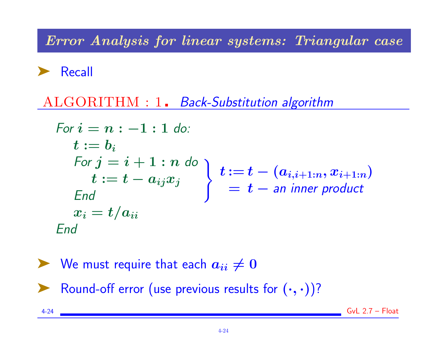Error Analysis for linear systems: Triangular case

➤ Recall

ALGORITHM : 1. Back-Substitution algorithm

For 
$$
i = n : -1 : 1
$$
 do:  
\n $t := b_i$   
\nFor  $j = i + 1 : n$  do  
\n $t := t - a_{ij}x_j$   
\nEnd  
\n $x_i = t/a_{ii}$   
\nEnd  
\n $x_i = t/a_{ii}$   
\n $t := t - (a_{i,i+1:n}, x_{i+1:n})$   
\n $= t -$  an inner product

\n- We must require that each 
$$
a_{ii} \neq 0
$$
\n- Round-off error (use previous results for  $(\cdot, \cdot)$ )?
\n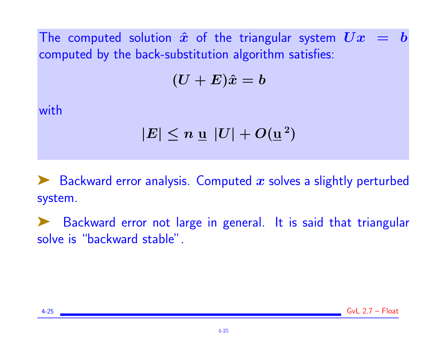The computed solution  $\hat{x}$  of the triangular system  $Ux = b$ computed by the back-substitution algorithm satisfies:

$$
(\boldsymbol{U} + \boldsymbol{E})\hat{x} = \boldsymbol{b}
$$

with

$$
|E| \leq n \mathrel{\underline{u}} |U| + O(\underline{\mathrm{u}}^{\:2})
$$

 $\blacktriangleright$  Backward error analysis. Computed x solves a slightly perturbed system.

Backward error not large in general. It is said that triangular solve is "backward stable".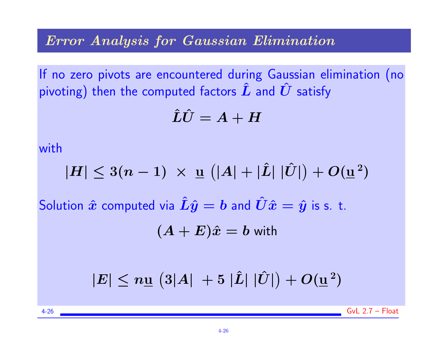#### Error Analysis for Gaussian Elimination

If no zero pivots are encountered during Gaussian elimination (no pivoting) then the computed factors  $\hat{L}$  and  $\hat{U}$  satisfy

$$
\hat{L}\hat{U}=A+H
$$

with

$$
|H| \leq 3(n-1) \times \underline{u} (|A| + |\hat{L}| |\hat{U}|) + O(\underline{u}^2)
$$

Solution  $\hat{x}$  computed via  $\hat{L}\hat{y} = b$  and  $\hat{U}\hat{x} = \hat{y}$  is s. t.

$$
(A+E)\hat{x}=b\text{ with }
$$

$$
|E| \leq n\underline{\mathrm{u}}\,\left(3|A|~+5~|\hat{L}|~|\hat{U}|\right) + O(\underline{\mathrm{u}}^{\,2})
$$

 $4-26$  GyL  $2.7 -$ Float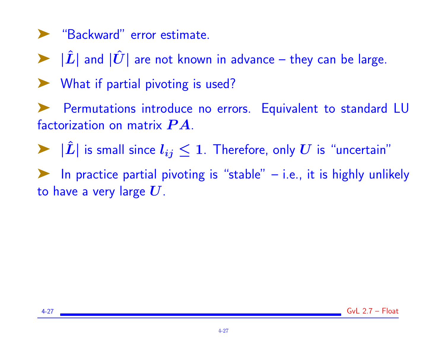- ➤ "Backward" error estimate.
- $\triangleright$   $|\hat{L}|$  and  $|\hat{U}|$  are not known in advance they can be large.
- ► What if partial pivoting is used?
- Permutations introduce no errors. Equivalent to standard LU factorization on matrix  $\boldsymbol{P}\boldsymbol{A}$ .
- $\blacktriangleright$   $|\hat{L}|$  is small since  $l_{ij} \leq 1$ . Therefore, only  $U$  is "uncertain"
- In practice partial pivoting is "stable"  $-$  i.e., it is highly unlikely to have a very large  $U$ .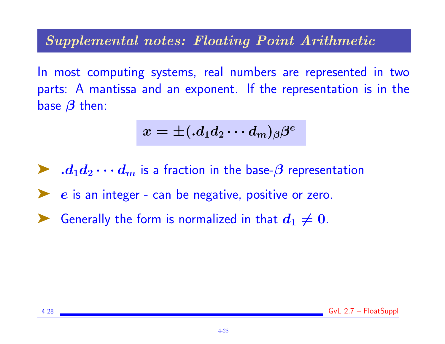#### Supplemental notes: Floating Point Arithmetic

In most computing systems, real numbers are represented in two parts: A mantissa and an exponent. If the representation is in the base  $\beta$  then:

$$
x=\pm ( .d_{1}d_{2}\cdots d_{m})_{\beta}\beta^{e}
$$

 $\blacktriangleright$  .  $d_1d_2\cdots d_m$  is a fraction in the base- $\beta$  representation  $\boldsymbol{e}$  is an integer - can be negative, positive or zero. Generally the form is normalized in that  $d_1\neq 0.$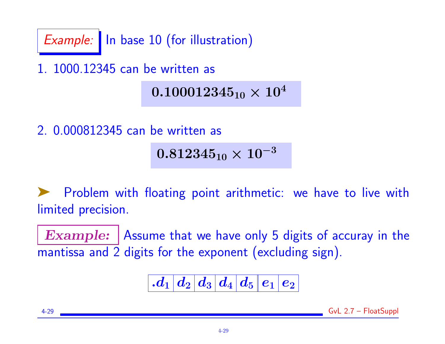Example: In base 10 (for illustration)

1. 1000.12345 can be written as

# $0.100012345_{10} \times 10^{4}$

2. 0.000812345 can be written as

 $0.812345_{10} \times 10^{-3}$ 

Problem with floating point arithmetic: we have to live with limited precision.

**Example:** Assume that we have only 5 digits of accuray in the mantissa and 2 digits for the exponent (excluding sign).

 $\left| \left. d_{1} \right| d_{2} \right| d_{3} \left| \left. d_{4} \right| d_{5} \right| e_{1} \left| e_{2} \right|$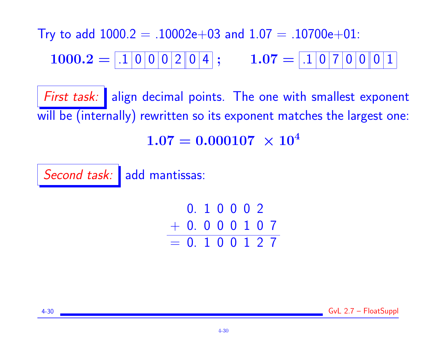Try to add  $1000.2 = .10002e+03$  and  $1.07 = .10700e+01$ : 1000.2 = .1 0 0 0 2 0 4 ; 1.07 = .1 0 7 0 0 0 1

First task: align decimal points. The one with smallest exponent will be (internally) rewritten so its exponent matches the largest one:  $1.07 = 0.000107 \times 10^4$ 

Second task: add mantissas:

0. 1 0 0 0 2 + 0. 0 0 0 1 0 7  $= 0.100127$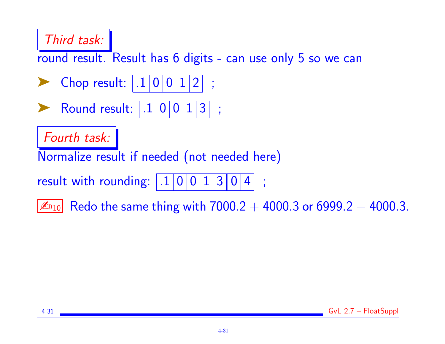# Third task:

round result. Result has 6 digits - can use only 5 so we can

- **Chop result:**  $.100112$ ;
- **Round result:**  $| .1 | 0 | 0 | 1 | 3 |$ ;

Fourth task:

Normalize result if needed (not needed here)

result with rounding:  $|.1|0|0|1|3|0|4|$ ;

 $|\mathcal{L}_{10}|$  Redo the same thing with  $7000.2 + 4000.3$  or  $6999.2 + 4000.3$ .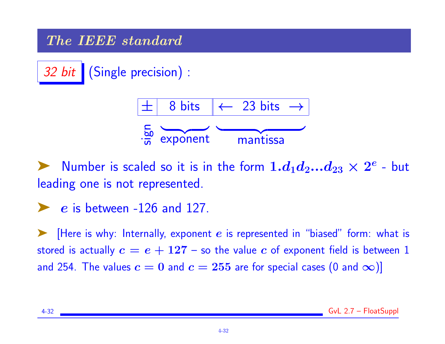## The IEEE standard

32 bit | (Single precision) :



ightharpoonup Number is scaled so it is in the form  $1.d_1d_2...d_{23} \times 2^e$  - but leading one is not represented.

 $\blacktriangleright$  e is between -126 and 127.

 $\blacktriangleright$  [Here is why: Internally, exponent e is represented in "biased" form: what is stored is actually  $c = e + 127 -$  so the value c of exponent field is between 1 and 254. The values  $c = 0$  and  $c = 255$  are for special cases (0 and  $\infty$ )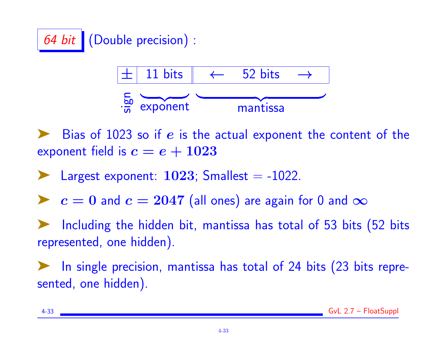



Bias of 1023 so if  $e$  is the actual exponent the content of the exponent field is  $c = e + 1023$ 

Largest exponent:  $1023$ ; Smallest  $=$  -1022.

►  $c = 0$  and  $c = 2047$  (all ones) are again for 0 and  $\infty$ 

Including the hidden bit, mantissa has total of 53 bits (52 bits represented, one hidden).

In single precision, mantissa has total of 24 bits (23 bits represented, one hidden).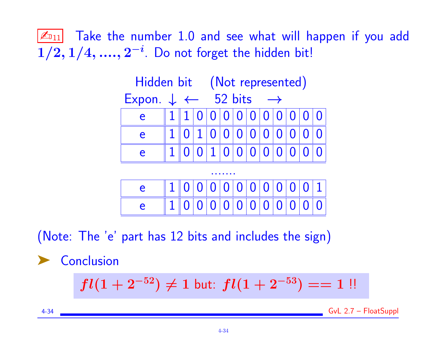$|\mathcal{L}_{11}|$  Take the number 1.0 and see what will happen if you add  $1/2, 1/4, ..., 2^{-i}$ . Do not forget the hidden bit!





(Note: The 'e' part has 12 bits and includes the sign)

**Conclusion** 

$$
fl(1+2^{-52}) \neq 1 \text{ but: } fl(1+2^{-53}) == 1 \text{ !!}
$$

4-34 GvL 2.7 – FloatSuppl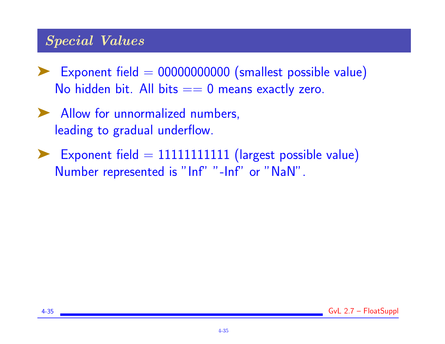# Special Values

- $\blacktriangleright$  Exponent field  $= 00000000000$  (smallest possible value) No hidden bit. All bits  $== 0$  means exactly zero.
- ➤ Allow for unnormalized numbers, leading to gradual underflow.
- $\blacktriangleright$  Exponent field = 1111111111111 (largest possible value) Number represented is "Inf" "-Inf" or "NaN".